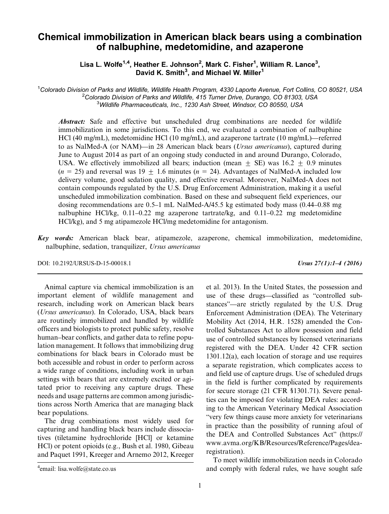# Chemical immobilization in American black bears using a combination of nalbuphine, medetomidine, and azaperone

Lisa L. Wolfe<sup>1,4</sup>, Heather E. Johnson<sup>2</sup>, Mark C. Fisher<sup>1</sup>, William R. Lance<sup>3</sup>, David K. Smith<sup>3</sup>, and Michael W. Miller<sup>1</sup>

<sup>1</sup>Colorado Division of Parks and Wildlife, Wildlife Health Program, 4330 Laporte Avenue, Fort Collins, CO 80521, USA<br><sup>2</sup>Colorado Division of Parks and Wildlife, 415 Turner Drive, Durango, CO 81303, USA  $^{2}$ Colorado Division of Parks and Wildlife, 415 Turner Drive, Durango, CO 81303, USA  ${}^{3}$ Wildlife Pharmaceuticals, Inc., 1230 Ash Street, Windsor, CO 80550, USA

Abstract: Safe and effective but unscheduled drug combinations are needed for wildlife immobilization in some jurisdictions. To this end, we evaluated a combination of nalbuphine HCl (40 mg/mL), medetomidine HCl (10 mg/mL), and azaperone tartrate (10 mg/mL)—referred to as NalMed-A (or NAM)—in 28 American black bears (*Ursus americanus*), captured during June to August 2014 as part of an ongoing study conducted in and around Durango, Colorado, USA. We effectively immobilized all bears; induction (mean  $+$  SE) was 16.2  $+$  0.9 minutes  $(n = 25)$  and reversal was 19  $\pm$  1.6 minutes  $(n = 24)$ . Advantages of NalMed-A included low delivery volume, good sedation quality, and effective reversal. Moreover, NalMed-A does not contain compounds regulated by the U.S. Drug Enforcement Administration, making it a useful unscheduled immobilization combination. Based on these and subsequent field experiences, our dosing recommendations are 0.5–1 mL NalMed-A/45.5 kg estimated body mass (0.44–0.88 mg nalbuphine HCl/kg, 0.11–0.22 mg azaperone tartrate/kg, and 0.11–0.22 mg medetomidine HCl/kg), and 5 mg atipamezole HCl/mg medetomidine for antagonism.

Key words: American black bear, atipamezole, azaperone, chemical immobilization, medetomidine, nalbuphine, sedation, tranquilizer, Ursus americanus

DOI: 10.2192/URSUS-D-15-00018.1 Ursus 27(1):1–4 (2016)

Animal capture via chemical immobilization is an important element of wildlife management and research, including work on American black bears (Ursus americanus). In Colorado, USA, black bears are routinely immobilized and handled by wildlife officers and biologists to protect public safety, resolve human–bear conflicts, and gather data to refine population management. It follows that immobilizing drug combinations for black bears in Colorado must be both accessible and robust in order to perform across a wide range of conditions, including work in urban settings with bears that are extremely excited or agitated prior to receiving any capture drugs. These needs and usage patterns are common among jurisdictions across North America that are managing black bear populations.

The drug combinations most widely used for capturing and handling black bears include dissociatives (tiletamine hydrochloride [HCl] or ketamine HCl) or potent opioids (e.g., Bush et al. 1980, Gibeau and Paquet 1991, Kreeger and Arnemo 2012, Kreeger et al. 2013). In the United States, the possession and use of these drugs—classified as "controlled substances"—are strictly regulated by the U.S. Drug Enforcement Administration (DEA). The Veterinary Mobility Act (2014, H.R. 1528) amended the Controlled Substances Act to allow possession and field use of controlled substances by licensed veterinarians registered with the DEA. Under 42 CFR section 1301.12(a), each location of storage and use requires a separate registration, which complicates access to and field use of capture drugs. Use of scheduled drugs in the field is further complicated by requirements for secure storage (21 CFR §1301.71). Severe penalties can be imposed for violating DEA rules: according to the American Veterinary Medical Association "very few things cause more anxiety for veterinarians in practice than the possibility of running afoul of the DEA and Controlled Substances Act" (https:// www.avma.org/KB/Resources/Reference/Pages/dearegistration).

To meet wildlife immobilization needs in Colorado and comply with federal rules, we have sought safe <sup>4</sup>

email: lisa.wolfe@state.co.us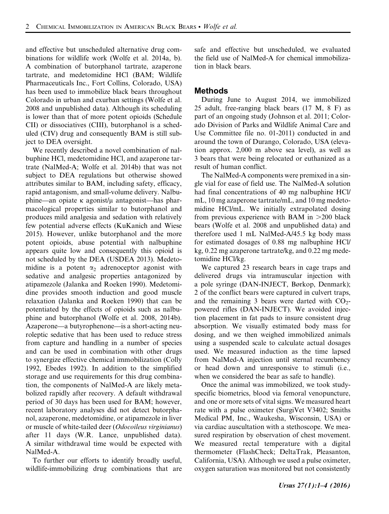and effective but unscheduled alternative drug combinations for wildlife work (Wolfe et al. 2014a, b). A combination of butorphanol tartrate, azaperone tartrate, and medetomidine HCl (BAM; Wildlife Pharmaceuticals Inc., Fort Collins, Colorado, USA) has been used to immobilize black bears throughout Colorado in urban and exurban settings (Wolfe et al. 2008 and unpublished data). Although its scheduling is lower than that of more potent opioids (Schedule CII) or dissociatives (CIII), butorphanol is a scheduled (CIV) drug and consequently BAM is still subject to DEA oversight.

We recently described a novel combination of nalbuphine HCl, medetomidine HCl, and azaperone tartrate (NalMed-A; Wolfe et al. 2014b) that was not subject to DEA regulations but otherwise showed attributes similar to BAM, including safety, efficacy, rapid antagonism, and small-volume delivery. Nalbuphine—an opiate κ agonist/μ antagonist—has pharmacological properties similar to butorphanol and produces mild analgesia and sedation with relatively few potential adverse effects (KuKanich and Wiese 2015). However, unlike butorphanol and the more potent opioids, abuse potential with nalbuphine appears quite low and consequently this opioid is not scheduled by the DEA (USDEA 2013). Medetomidine is a potent  $\alpha_2$  adrenoceptor agonist with sedative and analgesic properties antagonized by atipamezole (Jalanka and Roeken 1990). Medetomidine provides smooth induction and good muscle relaxation (Jalanka and Roeken 1990) that can be potentiated by the effects of opioids such as nalbuphine and butorphanol (Wolfe et al. 2008, 2014b). Azaperone—a butyrophenone—is a short-acting neuroleptic sedative that has been used to reduce stress from capture and handling in a number of species and can be used in combination with other drugs to synergize effective chemical immobilization (Colly 1992, Ebedes 1992). In addition to the simplified storage and use requirements for this drug combination, the components of NalMed-A are likely metabolized rapidly after recovery. A default withdrawal period of 30 days has been used for BAM; however, recent laboratory analyses did not detect butorphanol, azaperone, medetomidine, or atipamezole in liver or muscle of white-tailed deer (Odocoileus virginianus) after 11 days (W.R. Lance, unpublished data). A similar withdrawal time would be expected with NalMed-A.

To further our efforts to identify broadly useful, wildlife-immobilizing drug combinations that are safe and effective but unscheduled, we evaluated the field use of NalMed-A for chemical immobilization in black bears.

#### Methods

During June to August 2014, we immobilized 25 adult, free-ranging black bears (17 M, 8 F) as part of an ongoing study (Johnson et al. 2011; Colorado Division of Parks and Wildlife Animal Care and Use Committee file no. 01-2011) conducted in and around the town of Durango, Colorado, USA (elevation approx. 2,000 m above sea level), as well as 3 bears that were being relocated or euthanized as a result of human conflict.

The NalMed-A components were premixed in a single vial for ease of field use. The NalMed-A solution had final concentrations of 40 mg nalbuphine HCl/ mL, 10 mg azaperone tartrate/mL, and 10 mg medetomidine HCl/mL. We initially extrapolated dosing from previous experience with BAM in  $>200$  black bears (Wolfe et al. 2008 and unpublished data) and therefore used 1 mL NalMed-A/45.5 kg body mass for estimated dosages of 0.88 mg nalbuphine HCl/ kg, 0.22 mg azaperone tartrate/kg, and 0.22 mg medetomidine HCl/kg.

We captured 23 research bears in cage traps and delivered drugs via intramuscular injection with a pole syringe (DAN-INJECT, Børkop, Denmark); 2 of the conflict bears were captured in culvert traps, and the remaining 3 bears were darted with  $CO<sub>2</sub>$ powered rifles (DAN-INJECT). We avoided injection placement in fat pads to insure consistent drug absorption. We visually estimated body mass for dosing, and we then weighed immobilized animals using a suspended scale to calculate actual dosages used. We measured induction as the time lapsed from NalMed-A injection until sternal recumbency or head down and unresponsive to stimuli (i.e., when we considered the bear as safe to handle).

Once the animal was immobilized, we took studyspecific biometrics, blood via femoral venopuncture, and one or more sets of vital signs. We measured heart rate with a pulse oximeter (SurgiVet V3402; Smiths Medical PM, Inc., Waukesha, Wisconsin, USA) or via cardiac auscultation with a stethoscope. We measured respiration by observation of chest movement. We measured rectal temperature with a digital thermometer (FlashCheck; DeltaTrak, Pleasanton, California, USA). Although we used a pulse oximeter, oxygen saturation was monitored but not consistently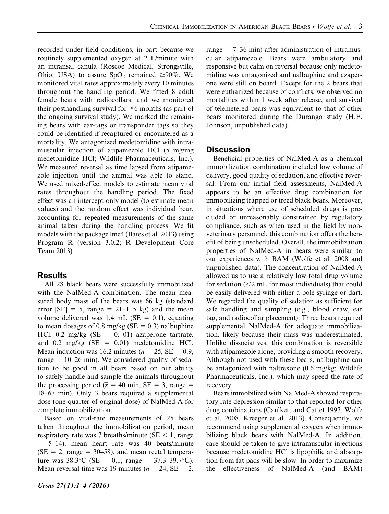recorded under field conditions, in part because we routinely supplemented oxygen at 2 L/minute with an intransal canula (Roscoe Medical, Strongsville, Ohio, USA) to assure  $SpO<sub>2</sub>$  remained  $\geq 90\%$ . We monitored vital rates approximately every 10 minutes throughout the handling period. We fitted 8 adult female bears with radiocollars, and we monitored their posthandling survival for  $\geq 6$  months (as part of the ongoing survival study). We marked the remaining bears with ear-tags or transponder tags so they could be identified if recaptured or encountered as a mortality. We antagonized medetomidine with intramuscular injection of atipamezole HCl (5 mg/mg medetomidine HCl; Wildlife Pharmaceuticals, Inc.). We measured reversal as time lapsed from atipamezole injection until the animal was able to stand. We used mixed-effect models to estimate mean vital rates throughout the handling period. The fixed effect was an intercept-only model (to estimate mean values) and the random effect was individual bear, accounting for repeated measurements of the same animal taken during the handling process. We fit models with the package lme4 (Bates et al. 2013) using Program R (version 3.0.2; R Development Core Team 2013).

### Results

All 28 black bears were successfully immobilized with the NalMed-A combination. The mean measured body mass of the bears was 66 kg (standard error  $[SE] = 5$ , range = 21–115 kg) and the mean volume delivered was 1.4 mL (SE =  $0.1$ ), equating to mean dosages of 0.8 mg/kg ( $SE = 0.3$ ) nalbuphine HCl, 0.2 mg/kg ( $SE = 0$ . 01) azaperone tartrate, and  $0.2 \text{ mg/kg}$  (SE = 0.01) medetomidine HCl. Mean induction was 16.2 minutes ( $n = 25$ , SE = 0.9, range  $= 10-26$  min). We considered quality of sedation to be good in all bears based on our ability to safely handle and sample the animals throughout the processing period ( $\bar{x}$  = 40 min, SE = 3, range = 18–67 min). Only 3 bears required a supplemental dose (one-quarter of original dose) of NalMed-A for complete immobilization.

Based on vital-rate measurements of 25 bears taken throughout the immobilization period, mean respiratory rate was 7 breaths/minute ( $SE < 1$ , range  $= 5-14$ ), mean heart rate was 40 beats/minute  $(SE = 2, range = 30-58)$ , and mean rectal temperature was  $38.3^{\circ}C$  (SE = 0.1, range =  $37.3-39.7^{\circ}C$ ). Mean reversal time was 19 minutes ( $n = 24$ , SE = 2, range  $= 7-36$  min) after administration of intramuscular atipamezole. Bears were ambulatory and responsive but calm on reversal because only medetomidine was antagonized and nalbuphine and azaperone were still on board. Except for the 2 bears that were euthanized because of conflicts, we observed no mortalities within 1 week after release, and survival of telemetered bears was equivalent to that of other bears monitored during the Durango study (H.E. Johnson, unpublished data).

### **Discussion**

Beneficial properties of NalMed-A as a chemical immobilization combination included low volume of delivery, good quality of sedation, and effective reversal. From our initial field assessments, NalMed-A appears to be an effective drug combination for immobilizing trapped or treed black bears. Moreover, in situations where use of scheduled drugs is precluded or unreasonably constrained by regulatory compliance, such as when used in the field by nonveterinary personnel, this combination offers the benefit of being unscheduled. Overall, the immobilization properties of NalMed-A in bears were similar to our experiences with BAM (Wolfe et al. 2008 and unpublished data). The concentration of NalMed-A allowed us to use a relatively low total drug volume for sedation  $\ll 2$  mL for most individuals) that could be easily delivered with either a pole syringe or dart. We regarded the quality of sedation as sufficient for safe handling and sampling (e.g., blood draw, ear tag, and radiocollar placement). Three bears required supplemental NalMed-A for adequate immobilization, likely because their mass was underestimated. Unlike dissociatives, this combination is reversible with atipamezole alone, providing a smooth recovery. Although not used with these bears, nalbuphine can be antagonized with naltrexone (0.6 mg/kg; Wildlife Pharmaceuticals, Inc.), which may speed the rate of recovery.

Bears immobilized with NalMed-A showed respiratory rate depression similar to that reported for other drug combinations (Caulkett and Cattet 1997, Wolfe et al. 2008, Kreeger et al. 2013). Consequently, we recommend using supplemental oxygen when immobilizing black bears with NalMed-A. In addition, care should be taken to give intramuscular injections because medetomidine HCl is lipophilic and absorption from fat pads will be slow. In order to maximize the effectiveness of NalMed-A (and BAM)